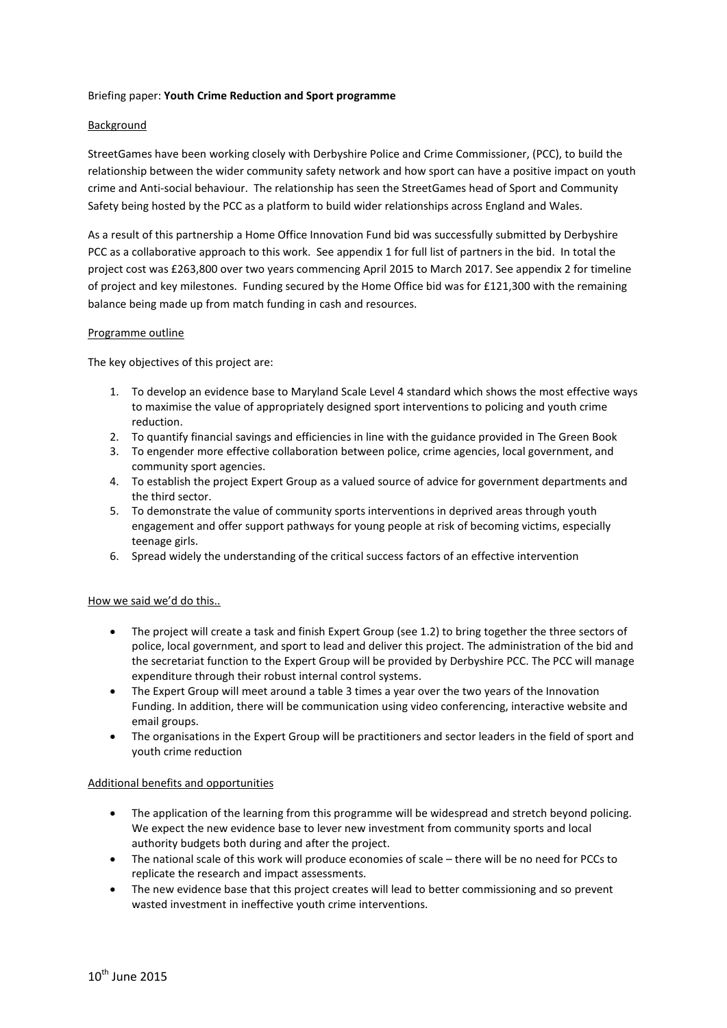### Briefing paper: **Youth Crime Reduction and Sport programme**

### **Background**

StreetGames have been working closely with Derbyshire Police and Crime Commissioner, (PCC), to build the relationship between the wider community safety network and how sport can have a positive impact on youth crime and Anti-social behaviour. The relationship has seen the StreetGames head of Sport and Community Safety being hosted by the PCC as a platform to build wider relationships across England and Wales.

As a result of this partnership a Home Office Innovation Fund bid was successfully submitted by Derbyshire PCC as a collaborative approach to this work. See appendix 1 for full list of partners in the bid. In total the project cost was £263,800 over two years commencing April 2015 to March 2017. See appendix 2 for timeline of project and key milestones. Funding secured by the Home Office bid was for £121,300 with the remaining balance being made up from match funding in cash and resources.

### Programme outline

The key objectives of this project are:

- 1. To develop an evidence base to Maryland Scale Level 4 standard which shows the most effective ways to maximise the value of appropriately designed sport interventions to policing and youth crime reduction.
- 2. To quantify financial savings and efficiencies in line with the guidance provided in The Green Book
- 3. To engender more effective collaboration between police, crime agencies, local government, and community sport agencies.
- 4. To establish the project Expert Group as a valued source of advice for government departments and the third sector.
- 5. To demonstrate the value of community sports interventions in deprived areas through youth engagement and offer support pathways for young people at risk of becoming victims, especially teenage girls.
- 6. Spread widely the understanding of the critical success factors of an effective intervention

### How we said we'd do this..

- The project will create a task and finish Expert Group (see 1.2) to bring together the three sectors of police, local government, and sport to lead and deliver this project. The administration of the bid and the secretariat function to the Expert Group will be provided by Derbyshire PCC. The PCC will manage expenditure through their robust internal control systems.
- The Expert Group will meet around a table 3 times a year over the two years of the Innovation Funding. In addition, there will be communication using video conferencing, interactive website and email groups.
- The organisations in the Expert Group will be practitioners and sector leaders in the field of sport and youth crime reduction

### Additional benefits and opportunities

- The application of the learning from this programme will be widespread and stretch beyond policing. We expect the new evidence base to lever new investment from community sports and local authority budgets both during and after the project.
- The national scale of this work will produce economies of scale there will be no need for PCCs to replicate the research and impact assessments.
- The new evidence base that this project creates will lead to better commissioning and so prevent wasted investment in ineffective youth crime interventions.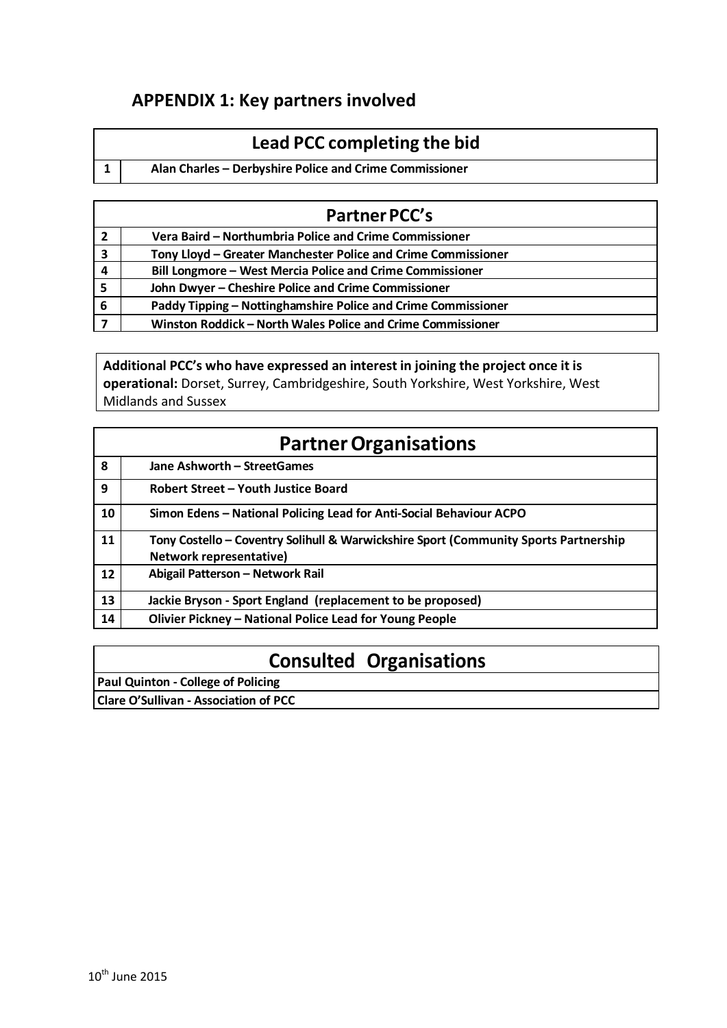## **APPENDIX 1: Key partners involved**

# **Lead PCC completing the bid**

**1 Alan Charles – Derbyshire Police and Crime Commissioner**

| <b>Partner PCC's</b>    |                                                               |  |  |  |  |  |  |  |  |
|-------------------------|---------------------------------------------------------------|--|--|--|--|--|--|--|--|
| $\overline{2}$          | Vera Baird - Northumbria Police and Crime Commissioner        |  |  |  |  |  |  |  |  |
| $\overline{\mathbf{3}}$ | Tony Lloyd - Greater Manchester Police and Crime Commissioner |  |  |  |  |  |  |  |  |
| $\overline{4}$          | Bill Longmore - West Mercia Police and Crime Commissioner     |  |  |  |  |  |  |  |  |
| 5                       | John Dwyer - Cheshire Police and Crime Commissioner           |  |  |  |  |  |  |  |  |
| 6                       | Paddy Tipping - Nottinghamshire Police and Crime Commissioner |  |  |  |  |  |  |  |  |
|                         | Winston Roddick - North Wales Police and Crime Commissioner   |  |  |  |  |  |  |  |  |

### **Additional PCC's who have expressed an interest in joining the project once it is operational:** Dorset, Surrey, Cambridgeshire, South Yorkshire, West Yorkshire, West Midlands and Sussex

|                   | <b>Partner Organisations</b>                                                                                    |  |  |  |  |  |  |  |  |  |  |
|-------------------|-----------------------------------------------------------------------------------------------------------------|--|--|--|--|--|--|--|--|--|--|
| 8                 | Jane Ashworth - StreetGames                                                                                     |  |  |  |  |  |  |  |  |  |  |
| 9                 | Robert Street - Youth Justice Board                                                                             |  |  |  |  |  |  |  |  |  |  |
| 10                | Simon Edens - National Policing Lead for Anti-Social Behaviour ACPO                                             |  |  |  |  |  |  |  |  |  |  |
| 11                | Tony Costello - Coventry Solihull & Warwickshire Sport (Community Sports Partnership<br>Network representative) |  |  |  |  |  |  |  |  |  |  |
| $12 \overline{ }$ | Abigail Patterson - Network Rail                                                                                |  |  |  |  |  |  |  |  |  |  |
| 13                | Jackie Bryson - Sport England (replacement to be proposed)                                                      |  |  |  |  |  |  |  |  |  |  |
| 14                | Olivier Pickney - National Police Lead for Young People                                                         |  |  |  |  |  |  |  |  |  |  |

# **Consulted Organisations**

| <b>Paul Quinton - College of Policing</b>    |  |
|----------------------------------------------|--|
| <b>Clare O'Sullivan - Association of PCC</b> |  |
|                                              |  |